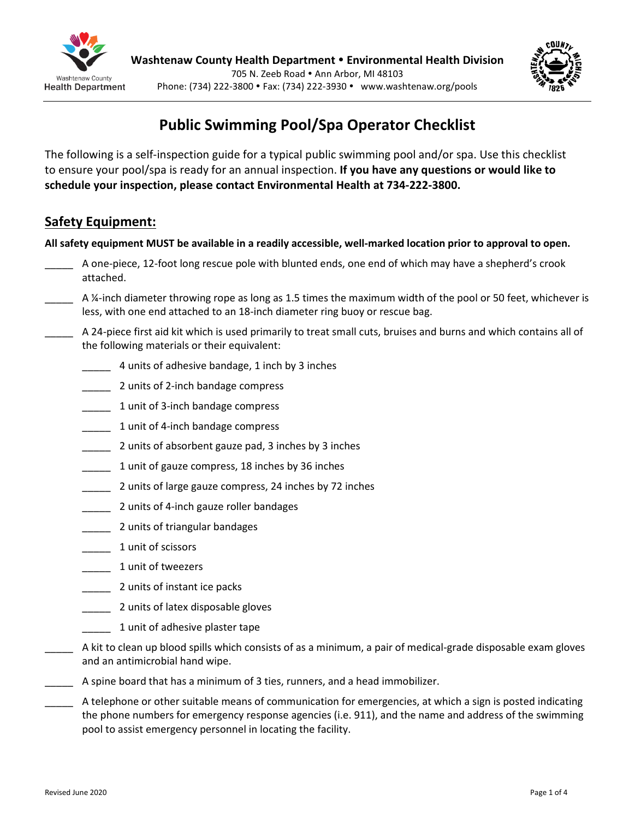

# **Public Swimming Pool/Spa Operator Checklist**

The following is a self-inspection guide for a typical public swimming pool and/or spa. Use this checklist to ensure your pool/spa is ready for an annual inspection. **If you have any questions or would like to schedule your inspection, please contact Environmental Health at 517-541-2615 (Eaton) or 269-945-9516 (Barry).**

# **Safety Equipment:**

**All safety equipment MUST be available in a readily accessible, well-marked location prior to approval to open.** 

- A one-piece, 12-foot long rescue pole with blunted ends, one end of which may have a shepherd's crook attached.
- A ¼-inch diameter throwing rope as long as 1.5 times the maximum width of the pool or 50 feet, whichever is less, with one end attached to an 18-inch diameter ring buoy or rescue bag.
- \_\_\_\_\_ A 24-piece first aid kit which is used primarily to treat small cuts, bruises and burns and which contains all of the following materials or their equivalent:
	- \_\_\_\_\_ 4 units of adhesive bandage, 1 inch by 3 inches
	- \_\_\_\_\_ 2 units of 2-inch bandage compress
	- 1 unit of 3-inch bandage compress
	- 1 unit of 4-inch bandage compress
	- **\_\_\_\_\_** 2 units of absorbent gauze pad, 3 inches by 3 inches
	- 1 unit of gauze compress, 18 inches by 36 inches
	- 2 units of large gauze compress, 24 inches by 72 inches
	- \_\_\_\_\_ 2 units of 4-inch gauze roller bandages
	- \_\_\_\_\_ 2 units of triangular bandages
	- \_\_\_\_\_\_ 1 unit of scissors
	- \_\_\_\_\_ 1 unit of tweezers
	- \_\_\_\_\_ 2 units of instant ice packs
	- \_\_\_\_\_ 2 units of latex disposable gloves
	- 1 unit of adhesive plaster tape
	- \_\_\_\_\_ A kit to clean up blood spills which consists of as a minimum, a pair of medical-grade disposable exam gloves and an antimicrobial hand wipe.
- \_\_\_\_\_ A spine board that has a minimum of 3 ties, runners, and a head immobilizer.
- A telephone or other suitable means of communication for emergencies, at which a sign is posted indicating the phone numbers for emergency response agencies (i.e. 911), and the name and address of the swimming pool to assist emergency personnel in locating the facility.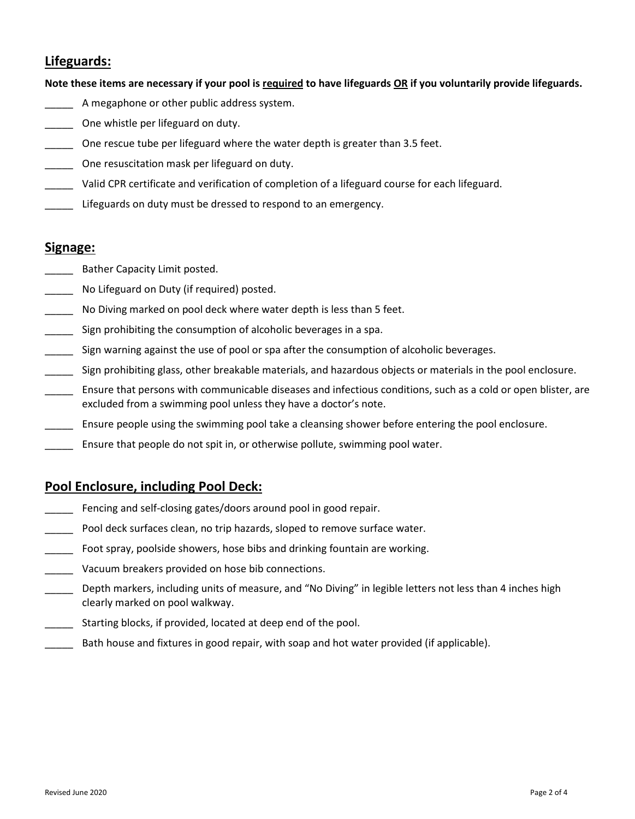## **Lifeguards:**

**Note these items are necessary if your pool is required to have lifeguards OR if you voluntarily provide lifeguards.** 

- \_\_\_\_\_ A megaphone or other public address system.
- \_\_\_\_\_ One whistle per lifeguard on duty.
- One rescue tube per lifeguard where the water depth is greater than 3.5 feet.
- One resuscitation mask per lifeguard on duty.
- \_\_\_\_\_ Valid CPR certificate and verification of completion of a lifeguard course for each lifeguard.
- Lifeguards on duty must be dressed to respond to an emergency.

#### **Signage:**

- Bather Capacity Limit posted.
- No Lifeguard on Duty (if required) posted.
- No Diving marked on pool deck where water depth is less than 5 feet.
- **\_\_\_\_** Sign prohibiting the consumption of alcoholic beverages in a spa.
- \_\_\_\_\_ Sign warning against the use of pool or spa after the consumption of alcoholic beverages.
- \_\_\_\_\_ Sign prohibiting glass, other breakable materials, and hazardous objects or materials in the pool enclosure.
- \_\_\_\_\_ Ensure that persons with communicable diseases and infectious conditions, such as a cold or open blister, are excluded from a swimming pool unless they have a doctor's note.
- \_\_\_\_\_ Ensure people using the swimming pool take a cleansing shower before entering the pool enclosure.
- \_\_\_\_\_ Ensure that people do not spit in, or otherwise pollute, swimming pool water.

### **Pool Enclosure, including Pool Deck:**

- \_\_\_\_\_ Fencing and self-closing gates/doors around pool in good repair.
- \_\_\_\_\_ Pool deck surfaces clean, no trip hazards, sloped to remove surface water.
- \_\_\_\_\_ Foot spray, poolside showers, hose bibs and drinking fountain are working.
- Vacuum breakers provided on hose bib connections.
- Depth markers, including units of measure, and "No Diving" in legible letters not less than 4 inches high clearly marked on pool walkway.
- \_\_\_\_\_ Starting blocks, if provided, located at deep end of the pool.
- Bath house and fixtures in good repair, with soap and hot water provided (if applicable).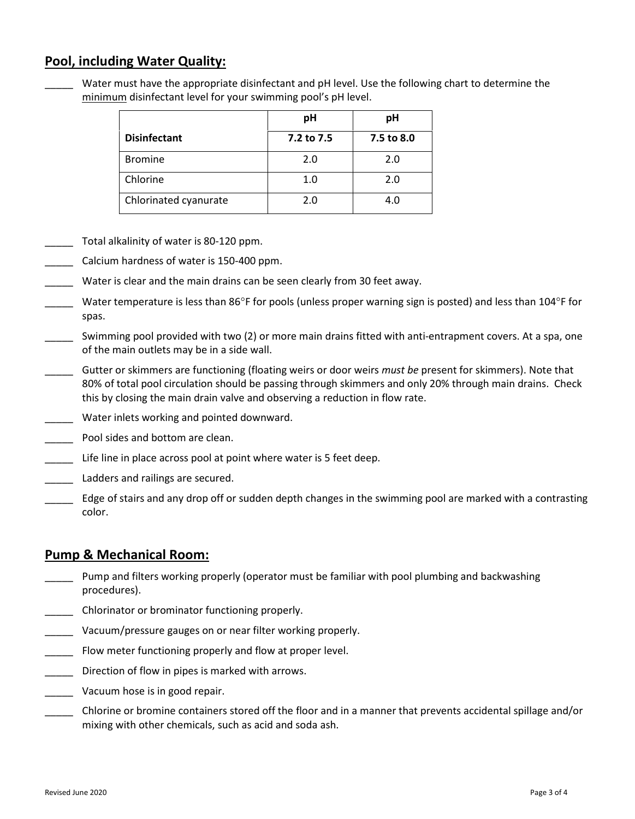### **Pool, including Water Quality:**

Water must have the appropriate disinfectant and pH level. Use the following chart to determine the minimum disinfectant level for your swimming pool's pH level.

|                       | pH         | pH         |
|-----------------------|------------|------------|
| <b>Disinfectant</b>   | 7.2 to 7.5 | 7.5 to 8.0 |
| <b>Bromine</b>        | 2.0        | 2.0        |
| Chlorine              | 1.0        | 2.0        |
| Chlorinated cyanurate | 2.0        | 4.0        |

- Total alkalinity of water is 80-120 ppm.
- \_\_\_\_\_ Calcium hardness of water is 150-400 ppm.
- Water is clear and the main drains can be seen clearly from 30 feet away.
- Water temperature is less than 86°F for pools (unless proper warning sign is posted) and less than 104°F for spas.
- Swimming pool provided with two (2) or more main drains fitted with anti-entrapment covers. At a spa, one of the main outlets may be in a side wall.
- \_\_\_\_\_ Gutter or skimmers are functioning (floating weirs or door weirs *must be* present for skimmers). Note that 80% of total pool circulation should be passing through skimmers and only 20% through main drains. Check this by closing the main drain valve and observing a reduction in flow rate.
- \_\_\_\_\_ Water inlets working and pointed downward.
- Pool sides and bottom are clean.
- Life line in place across pool at point where water is 5 feet deep.
- Ladders and railings are secured.
- \_\_\_\_\_ Edge of stairs and any drop off or sudden depth changes in the swimming pool are marked with a contrasting color.

# **Pump & Mechanical Room:**

- Pump and filters working properly (operator must be familiar with pool plumbing and backwashing procedures).
- \_\_\_\_\_ Chlorinator or brominator functioning properly.
- Vacuum/pressure gauges on or near filter working properly.
- \_\_\_\_\_ Flow meter functioning properly and flow at proper level.
- \_\_\_\_\_ Direction of flow in pipes is marked with arrows.
- \_\_\_\_\_ Vacuum hose is in good repair.
- \_\_\_\_\_ Chlorine or bromine containers stored off the floor and in a manner that prevents accidental spillage and/or mixing with other chemicals, such as acid and soda ash.